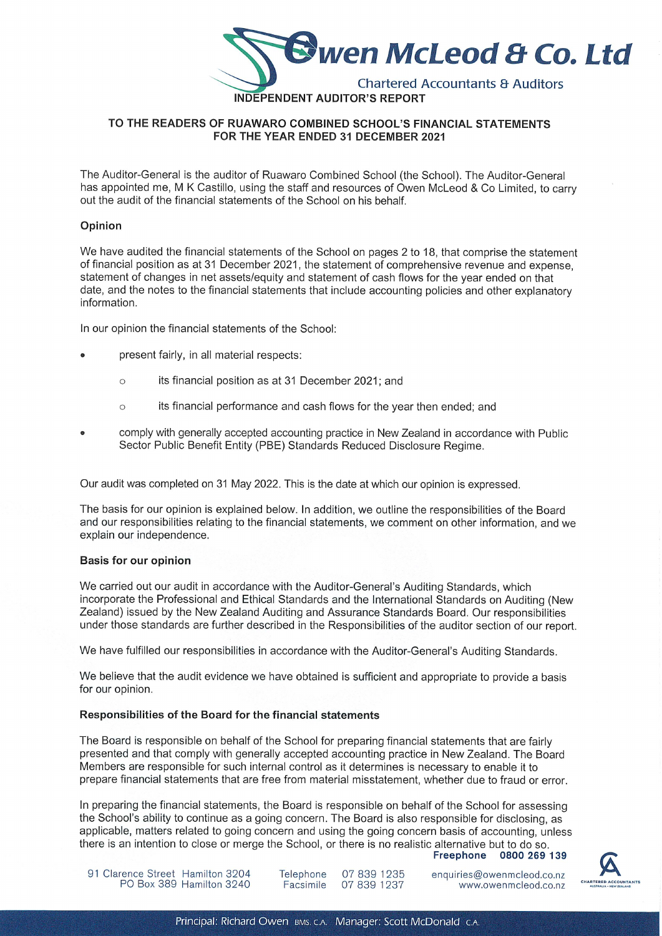

# TO THE READERS OF RUAWARO COMBINED SCHOOL'S FINANCIAL STATEMENTS FOR THE YEAR ENDED 31 DECEMBER 2021

The Auditor-General is the auditor of Ruawaro Combined School (the School). The Auditor-General has appointed me, M K Castillo, using the staff and resources of Owen McLeod & Co Limited, to carry out the audit of the financial statements of the School on his behalf.

# Opinion

We have audited the financial statements of the School on pages 2 to 18, that comprise the statement of financial position as at 31 December 2021, the statement of comprehensive revenue and expense, statement of changes in net assets/equity and statement of cash flows for the year ended on that date, and the notes to the financial statements that include accounting policies and other explanatory information.

In our opinion the financial statements of the School:

- present fairly, in all material respects:
	- its financial position as at 31 December 2021; and  $\circ$
	- $\circ$ its financial performance and cash flows for the year then ended; and
- comply with generally accepted accounting practice in New Zealand in accordance with Public Sector Public Benefit Entity (PBE) Standards Reduced Disclosure Regime.

Our audit was completed on 31 May 2022. This is the date at which our opinion is expressed.

The basis for our opinion is explained below. In addition, we outline the responsibilities of the Board and our responsibilities relating to the financial statements, we comment on other information, and we explain our independence.

### Basis for our opinion

We carried out our audit in accordance with the Auditor-General's Auditing Standards, which incorporate the Professional and Ethical Standards and the International Standards on Auditing (New Zealand) issued by the New Zealand Auditing and Assurance Standards Board. Our responsibilities under those standards are further described in the Responsibilities of the auditor section of our report.

We have fulfilled our responsibilities in accordance with the Auditor-General's Auditing Standards.

We believe that the audit evidence we have obtained is sufficient and appropriate to provide a basis for our opinion.

# Responsibilities of the Board for the financial statements

The Board is responsible on behalf of the School for preparing financial statements that are fairly presented and that comply with generally accepted accounting practice in New Zealand. The Board Members are responsible for such internal control as it determines is necessary to enable it to prepare Financial statements that are Free from material misstatement, whether due to Fraud or error.

In preparing the financial statements, the Board is responsible on behalf of the School for assessing the School's ability to continue as a going concern. The Board is also responsible for disclosing, as applicable, matters related to going concern and using the going concern basis of accounting, unless there is an intention to close or merge the School, or there is no realistic alternative but to do so.





enquiries@owenmcleod.co.nz www.owenmcleod.co.nz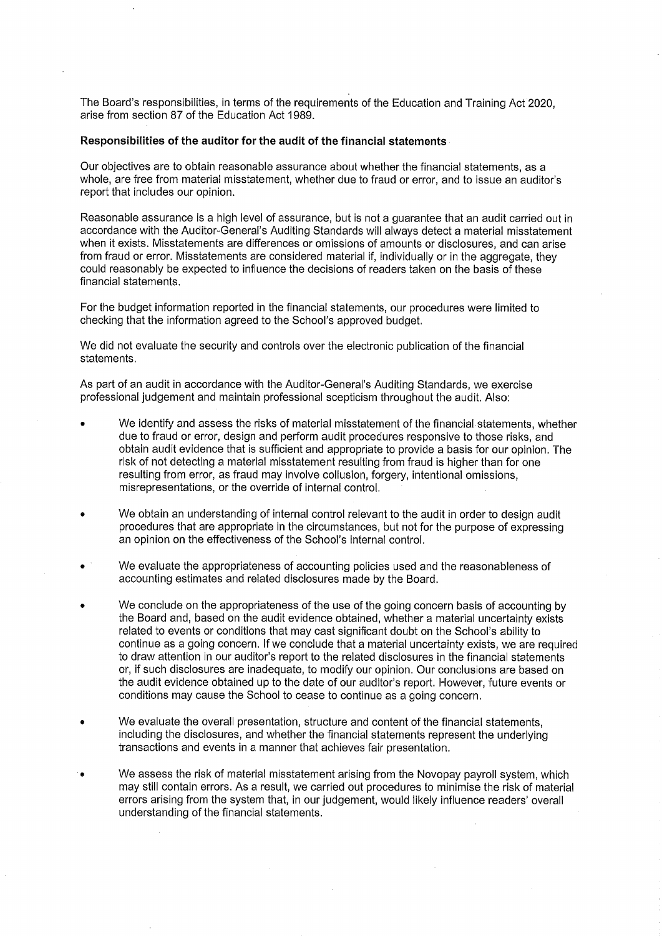The Board's responsibilities, in terms of the requirements of the Education and Training Act 2020, arise from section 87 of the Education Act 1989.

# Responsibilities of the auditor for the audit of the financial statements

Our objectives are to obtain reasonable assurance about whether the financial statements, as a whole, are free from material misstatement, whether due to fraud or error, and to issue an auditor's report that includes our opinion.

Reasonable assurance is a high level of assurance, but is not a guarantee that an audit carried out in accordance with the Auditor-General's Auditing Standards will always detect a material misstatement when it exists. Misstatements are differences or omissions of amounts or disclosures, and can arise from fraud or error. Misstatements are considered material if, individually or in the aggregate, they could reasonably be expected to influence the decisions of readers taken on the basis of these financial statements.

For the budget information reported in the financial statements, our procedures were limited to checking that the information agreed to the School's approved budget.

We did not evaluate the security and controls over the electronic publication of the financial statements.

As part of an audit in accordance with the Auditor-General's Auditing Standards, we exercise professional judgement and maintain professional scepticism throughout the audit. Also:

- We identify and assess the risks of material misstatement of the financial statements, whether due to fraud or error, design and perform audit procedures responsive to those risks, and obtain audit evidence that is sufficient and appropriate to provide a basis for our opinion. The risk of not detecting a material misstatement resulting from fraud is higher than for one resulting from error, as fraud may involve collusion, forgery, intentional omissions, misrepresentations, or the override of internal control.
- We obtain an understanding of internal control relevant to the audit in order to design audit procedures that are appropriate in the circumstances, but not for the purpose of expressing an opinion on the effectiveness of the School's internal control.
- We evaluate the appropriateness of accounting policies used and the reasonableness of accounting estimates and related disclosures made by the Board.
- We conclude on the appropriateness of the use of the going concern basis of accounting by the Board and, based on the audit evidence obtained, whether a material uncertainty exists related to events or conditions that may cast significant doubt on the School's ability to continue as a going concern. If we conclude that a material uncertainty exists, we are required to draw attention in our auditor's report to the related disclosures in the financial statements or, if such disclosures are inadequate, to modify our opinion. Our conclusions are based on the audit evidence obtained up to the date of our auditor's report. However, future events or conditions may cause the School to cease to continue as a going concern.
- We evaluate the overall presentation, structure and content of the financial statements, including the disclosures, and whether the financial statements represent the underlying transactions and events in a manner that achieves fair presentation.
- We assess the risk of material misstatement arising from the Novopay payroll system, which may still contain errors. As a result, we carried out procedures to minimise the risk of material errors arising from the system that, in our judgement, would likely influence readers' overall understanding of the financial statements.